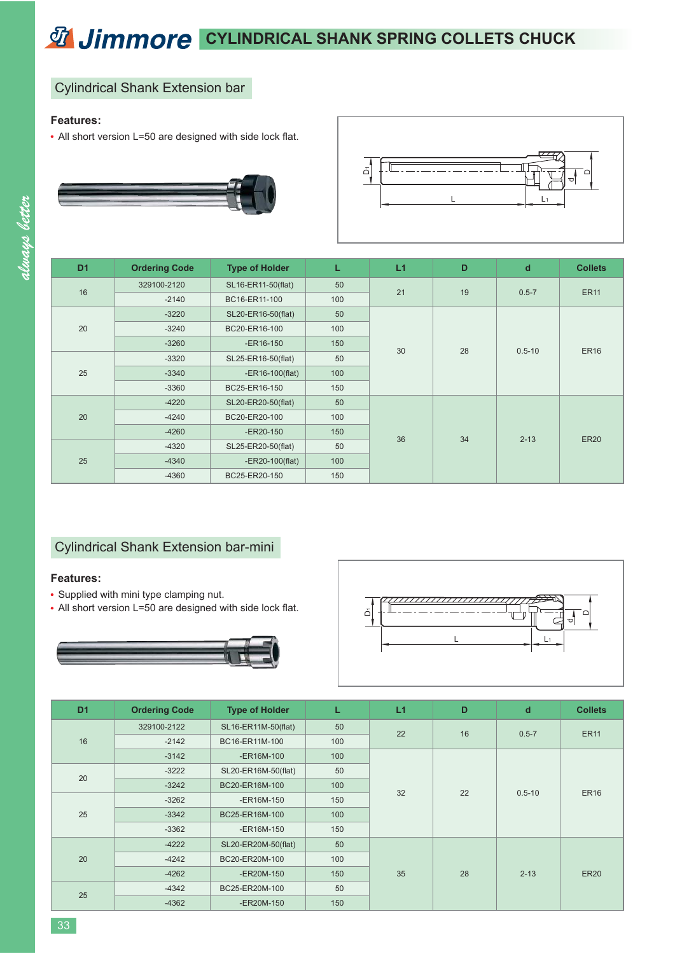# *C***<sub>1</sub> Jimmore** CYLINDRICAL SHANK SPRING COLLETS CHUCK

### Cylindrical Shank Extension bar

#### **Features:**

• All short version L=50 are designed with side lock flat.





| D <sub>1</sub> | <b>Ordering Code</b> | <b>Type of Holder</b> | L                | L1 | D  | $\mathbf d$ | <b>Collets</b> |
|----------------|----------------------|-----------------------|------------------|----|----|-------------|----------------|
|                |                      |                       |                  |    |    |             |                |
| 16             | 329100-2120          | SL16-ER11-50(flat)    | 50               | 21 | 19 | $0.5 - 7$   | <b>ER11</b>    |
|                | $-2140$              | BC16-ER11-100         | 100              |    |    |             |                |
| 20             | $-3220$              | SL20-ER16-50(flat)    | 50               |    |    |             |                |
|                | $-3240$              | BC20-ER16-100         | 100              |    | 28 | $0.5 - 10$  | <b>ER16</b>    |
|                | $-3260$              | $-ER16-150$           | 150              | 30 |    |             |                |
| 25             | $-3320$              | SL25-ER16-50(flat)    | 50               |    |    |             |                |
|                | $-3340$              | $-ER16-100(flat)$     | 100              |    |    |             |                |
|                | $-3360$              | BC25-ER16-150         | 150              |    |    |             |                |
| 20             | $-4220$              | SL20-ER20-50(flat)    | 50               |    |    |             |                |
|                | $-4240$              | BC20-ER20-100         | 100<br>150<br>36 |    | 34 | $2 - 13$    | <b>ER20</b>    |
|                | $-4260$              | $-ER20-150$           |                  |    |    |             |                |
| 25             | $-4320$              | SL25-ER20-50(flat)    | 50               |    |    |             |                |
|                | $-4340$              | $-ER20-100$ (flat)    | 100              |    |    |             |                |
|                | $-4360$              | BC25-ER20-150         | 150              |    |    |             |                |

## Cylindrical Shank Extension bar-mini

#### **Features:**

- Supplied with mini type clamping nut.
- All short version L=50 are designed with side lock flat.





| D <sub>1</sub> | <b>Ordering Code</b> | <b>Type of Holder</b> | L   | L1 | D  | $\mathbf d$ | <b>Collets</b> |
|----------------|----------------------|-----------------------|-----|----|----|-------------|----------------|
| 16             | 329100-2122          | SL16-ER11M-50(flat)   | 50  | 22 | 16 | $0.5 - 7$   | <b>ER11</b>    |
|                | $-2142$              | BC16-ER11M-100        | 100 |    |    |             |                |
|                | $-3142$              | -ER16M-100            | 100 |    |    |             |                |
| 20             | $-3222$              | SL20-ER16M-50(flat)   | 50  |    |    | $0.5 - 10$  | <b>ER16</b>    |
|                | $-3242$              | BC20-ER16M-100        | 100 | 32 |    |             |                |
| 25             | $-3262$              | -ER16M-150            | 150 |    | 22 |             |                |
|                | $-3342$              | BC25-ER16M-100        | 100 |    |    |             |                |
|                | $-3362$              | -ER16M-150            | 150 |    |    |             |                |
| 20             | $-4222$              | SL20-ER20M-50(flat)   | 50  | 35 | 28 | $2 - 13$    | <b>ER20</b>    |
|                | $-4242$              | BC20-ER20M-100        | 100 |    |    |             |                |
|                | $-4262$              | -ER20M-150            | 150 |    |    |             |                |
| 25             | $-4342$              | BC25-ER20M-100        | 50  |    |    |             |                |
|                | $-4362$              | -ER20M-150            | 150 |    |    |             |                |